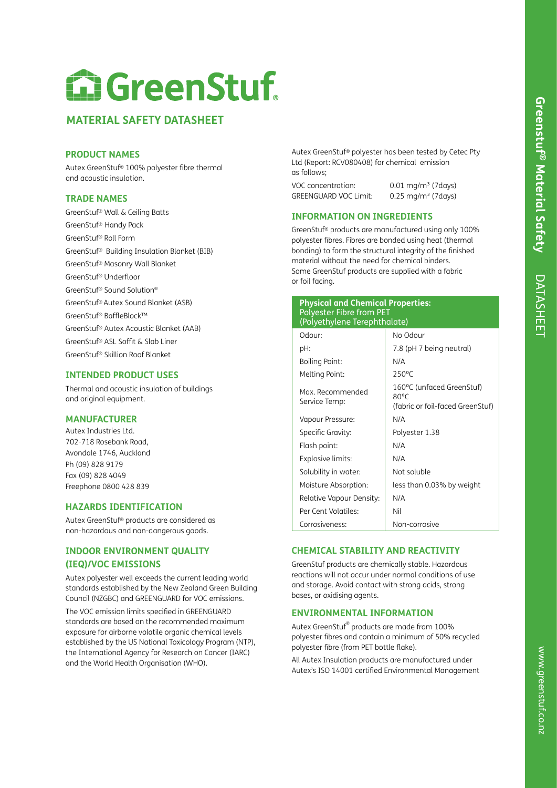# DATASHEE DATASHEET

# **MATERIAL SAFETY DATASHEET**

## **PRODUCT NAMES**

Autex GreenStuf® 100% polyester fibre thermal and acoustic insulation.

## **TRADE NAMES**

GreenStuf® Wall & Ceiling Batts GreenStuf® Handy Pack GreenStuf® Roll Form GreenStuf® Building Insulation Blanket (BIB) GreenStuf® Masonry Wall Blanket GreenStuf® Underfloor GreenStuf® Sound Solution® GreenStuf® Autex Sound Blanket (ASB) GreenStuf® BaffleBlock™ GreenStuf® Autex Acoustic Blanket (AAB) GreenStuf® ASL Soffit & Slab Liner GreenStuf® Skillion Roof Blanket

# **INTENDED PRODUCT USES**

Thermal and acoustic insulation of buildings and original equipment.

# **MANUFACTURER**

Autex Industries Ltd. 702-718 Rosebank Road, Avondale 1746, Auckland Ph (09) 828 9179 Fax (09) 828 4049 Freephone 0800 428 839

## **HAZARDS IDENTIFICATION**

Autex GreenStuf® products are considered as non-hazardous and non-dangerous goods.

# **INDOOR ENVIRONMENT QUALITY (IEQ)/VOC EMISSIONS**

Autex polyester well exceeds the current leading world standards established by the New Zealand Green Building Council (NZGBC) and GREENGUARD for VOC emissions.

The VOC emission limits specified in GREENGUARD standards are based on the recommended maximum exposure for airborne volatile organic chemical levels established by the US National Toxicology Program (NTP), the International Agency for Research on Cancer (IARC) and the World Health Organisation (WHO).

Autex GreenStuf® polyester has been tested by Cetec Pty Ltd (Report: RCV080408) for chemical emission as follows;

VOC concentration: 0.01 ma/m<sup>3</sup> (7days) GREENGUARD VOC Limit: 0.25 mg/m<sup>3</sup> (7days)

# **INFORMATION ON INGREDIENTS**

GreenStuf® products are manufactured using only 100% polyester fibres. Fibres are bonded using heat (thermal bonding) to form the structural integrity of the finished material without the need for chemical binders. Some GreenStuf products are supplied with a fabric or foil facing.

| <b>Physical and Chemical Properties:</b><br><b>Polyester Fibre from PET</b><br>(Polyethylene Terephthalate) |                                                                                 |  |
|-------------------------------------------------------------------------------------------------------------|---------------------------------------------------------------------------------|--|
| Odour:                                                                                                      | No Odour                                                                        |  |
| pH:                                                                                                         | 7.8 (pH 7 being neutral)                                                        |  |
| <b>Boiling Point:</b>                                                                                       | N/A                                                                             |  |
| Melting Point:                                                                                              | $250^{\circ}$ C                                                                 |  |
| Max. Recommended<br>Service Temp:                                                                           | 160°C (unfaced GreenStuf)<br>$80^{\circ}$ C<br>(fabric or foil-faced GreenStuf) |  |
| Vapour Pressure:                                                                                            | N/A                                                                             |  |
| Specific Gravity:                                                                                           | Polyester 1.38                                                                  |  |
| Flash point:                                                                                                | N/A                                                                             |  |
| Explosive limits:                                                                                           | N/A                                                                             |  |
| Solubility in water:                                                                                        | Not soluble                                                                     |  |
| Moisture Absorption:                                                                                        | less than 0.03% by weight                                                       |  |
| Relative Vapour Density:                                                                                    | N/A                                                                             |  |
| Per Cent Volatiles:                                                                                         | Nil                                                                             |  |
| Corrosiveness:                                                                                              | Non-corrosive                                                                   |  |

# **CHEMICAL STABILITY AND REACTIVITY**

GreenStuf products are chemically stable. Hazardous reactions will not occur under normal conditions of use and storage. Avoid contact with strong acids, strong bases, or oxidising agents.

# **ENVIRONMENTAL INFORMATION**

Autex GreenStuf® products are made from 100% polyester fibres and contain a minimum of 50% recycled polyester fibre (from PET bottle flake).

All Autex Insulation products are manufactured under Autex's ISO 14001 certified Environmental Management